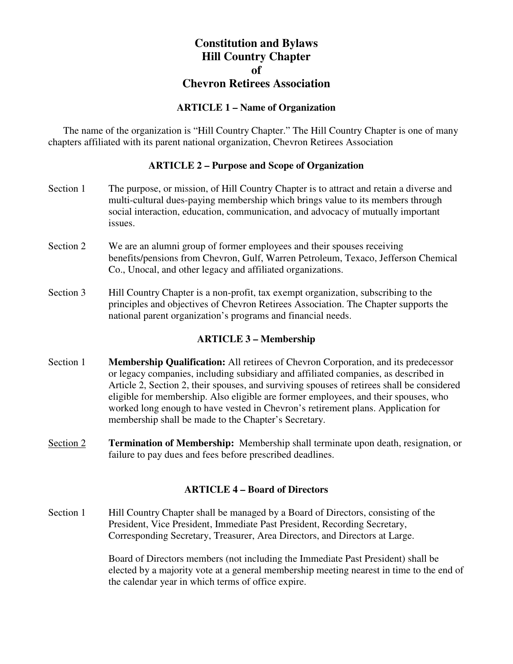# **Constitution and Bylaws Hill Country Chapter of Chevron Retirees Association**

#### **ARTICLE 1 – Name of Organization**

The name of the organization is "Hill Country Chapter." The Hill Country Chapter is one of many chapters affiliated with its parent national organization, Chevron Retirees Association

### **ARTICLE 2 – Purpose and Scope of Organization**

- Section 1 The purpose, or mission, of Hill Country Chapter is to attract and retain a diverse and multi-cultural dues-paying membership which brings value to its members through social interaction, education, communication, and advocacy of mutually important issues.
- Section 2 We are an alumni group of former employees and their spouses receiving benefits/pensions from Chevron, Gulf, Warren Petroleum, Texaco, Jefferson Chemical Co., Unocal, and other legacy and affiliated organizations.
- Section 3 Hill Country Chapter is a non-profit, tax exempt organization, subscribing to the principles and objectives of Chevron Retirees Association. The Chapter supports the national parent organization's programs and financial needs.

### **ARTICLE 3 – Membership**

- Section 1 **Membership Qualification:** All retirees of Chevron Corporation, and its predecessor or legacy companies, including subsidiary and affiliated companies, as described in Article 2, Section 2, their spouses, and surviving spouses of retirees shall be considered eligible for membership. Also eligible are former employees, and their spouses, who worked long enough to have vested in Chevron's retirement plans. Application for membership shall be made to the Chapter's Secretary.
- Section 2 **Termination of Membership:** Membership shall terminate upon death, resignation, or failure to pay dues and fees before prescribed deadlines.

### **ARTICLE 4 – Board of Directors**

Section 1 Hill Country Chapter shall be managed by a Board of Directors, consisting of the President, Vice President, Immediate Past President, Recording Secretary, Corresponding Secretary, Treasurer, Area Directors, and Directors at Large.

> Board of Directors members (not including the Immediate Past President) shall be elected by a majority vote at a general membership meeting nearest in time to the end of the calendar year in which terms of office expire.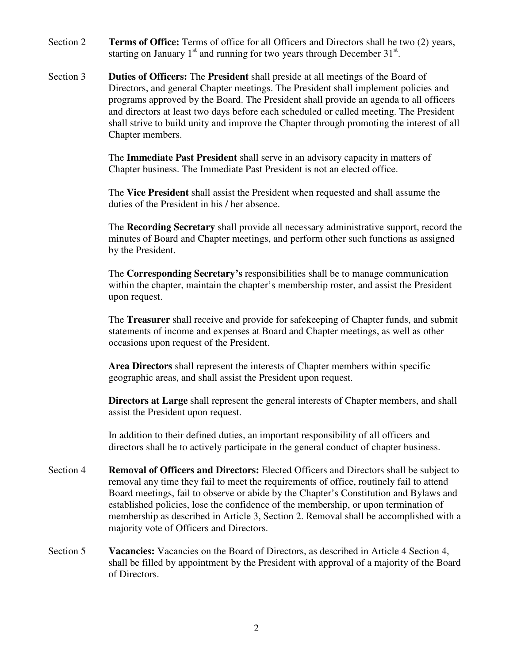- Section 2 **Terms of Office:** Terms of office for all Officers and Directors shall be two (2) years, starting on January  $1<sup>st</sup>$  and running for two years through December  $31<sup>st</sup>$ .
- Section 3 **Duties of Officers:** The **President** shall preside at all meetings of the Board of Directors, and general Chapter meetings. The President shall implement policies and programs approved by the Board. The President shall provide an agenda to all officers and directors at least two days before each scheduled or called meeting. The President shall strive to build unity and improve the Chapter through promoting the interest of all Chapter members.

 The **Immediate Past President** shall serve in an advisory capacity in matters of Chapter business. The Immediate Past President is not an elected office.

 The **Vice President** shall assist the President when requested and shall assume the duties of the President in his / her absence.

 The **Recording Secretary** shall provide all necessary administrative support, record the minutes of Board and Chapter meetings, and perform other such functions as assigned by the President.

 The **Corresponding Secretary's** responsibilities shall be to manage communication within the chapter, maintain the chapter's membership roster, and assist the President upon request.

 The **Treasurer** shall receive and provide for safekeeping of Chapter funds, and submit statements of income and expenses at Board and Chapter meetings, as well as other occasions upon request of the President.

**Area Directors** shall represent the interests of Chapter members within specific geographic areas, and shall assist the President upon request.

**Directors at Large** shall represent the general interests of Chapter members, and shall assist the President upon request.

 In addition to their defined duties, an important responsibility of all officers and directors shall be to actively participate in the general conduct of chapter business.

- Section 4 **Removal of Officers and Directors:** Elected Officers and Directors shall be subject to removal any time they fail to meet the requirements of office, routinely fail to attend Board meetings, fail to observe or abide by the Chapter's Constitution and Bylaws and established policies, lose the confidence of the membership, or upon termination of membership as described in Article 3, Section 2. Removal shall be accomplished with a majority vote of Officers and Directors.
- Section 5 **Vacancies:** Vacancies on the Board of Directors, as described in Article 4 Section 4, shall be filled by appointment by the President with approval of a majority of the Board of Directors.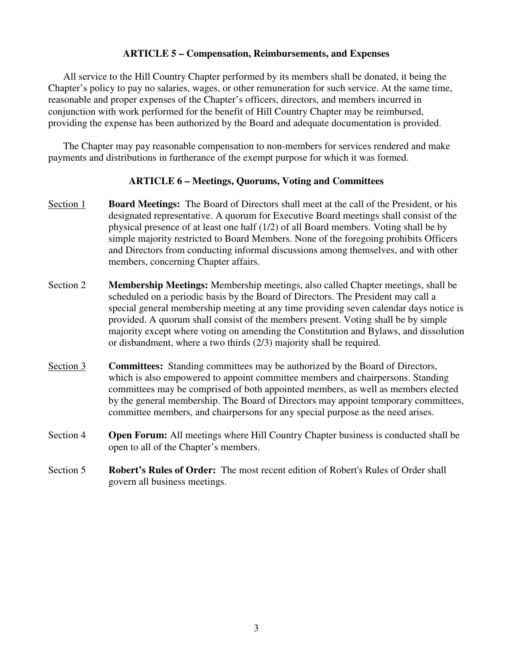#### **ARTICLE 5 – Compensation, Reimbursements, and Expenses**

All service to the Hill Country Chapter performed by its members shall be donated, it being the Chapter's policy to pay no salaries, wages, or other remuneration for such service. At the same time, reasonable and proper expenses of the Chapter's officers, directors, and members incurred in conjunction with work performed for the benefit of Hill Country Chapter may be reimbursed, providing the expense has been authorized by the Board and adequate documentation is provided.

The Chapter may pay reasonable compensation to non-members for services rendered and make payments and distributions in furtherance of the exempt purpose for which it was formed.

#### **ARTICLE 6 – Meetings, Quorums, Voting and Committees**

- Section 1 **Board Meetings:** The Board of Directors shall meet at the call of the President, or his designated representative. A quorum for Executive Board meetings shall consist of the physical presence of at least one half (1/2) of all Board members. Voting shall be by simple majority restricted to Board Members. None of the foregoing prohibits Officers and Directors from conducting informal discussions among themselves, and with other members, concerning Chapter affairs.
- Section 2 **Membership Meetings:** Membership meetings, also called Chapter meetings, shall be scheduled on a periodic basis by the Board of Directors. The President may call a special general membership meeting at any time providing seven calendar days notice is provided. A quorum shall consist of the members present. Voting shall be by simple majority except where voting on amending the Constitution and Bylaws, and dissolution or disbandment, where a two thirds (2/3) majority shall be required.
- Section 3 **Committees:** Standing committees may be authorized by the Board of Directors, which is also empowered to appoint committee members and chairpersons. Standing committees may be comprised of both appointed members, as well as members elected by the general membership. The Board of Directors may appoint temporary committees, committee members, and chairpersons for any special purpose as the need arises.
- Section 4 **Open Forum:** All meetings where Hill Country Chapter business is conducted shall be open to all of the Chapter's members.
- Section 5 **Robert's Rules of Order:** The most recent edition of Robert's Rules of Order shall govern all business meetings.